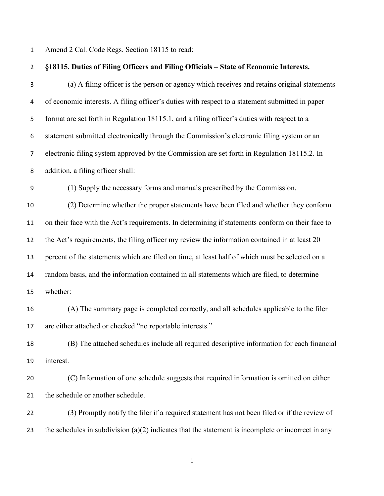Amend 2 Cal. Code Regs. Section 18115 to read:

| $\overline{2}$ | §18115. Duties of Filing Officers and Filing Officials - State of Economic Interests.                |
|----------------|------------------------------------------------------------------------------------------------------|
| 3              | (a) A filing officer is the person or agency which receives and retains original statements          |
| 4              | of economic interests. A filing officer's duties with respect to a statement submitted in paper      |
| 5              | format are set forth in Regulation 18115.1, and a filing officer's duties with respect to a          |
| 6              | statement submitted electronically through the Commission's electronic filing system or an           |
| $\overline{7}$ | electronic filing system approved by the Commission are set forth in Regulation 18115.2. In          |
| 8              | addition, a filing officer shall:                                                                    |
| 9              | (1) Supply the necessary forms and manuals prescribed by the Commission.                             |
| 10             | (2) Determine whether the proper statements have been filed and whether they conform                 |
| $11\,$         | on their face with the Act's requirements. In determining if statements conform on their face to     |
| 12             | the Act's requirements, the filing officer my review the information contained in at least 20        |
| 13             | percent of the statements which are filed on time, at least half of which must be selected on a      |
| 14             | random basis, and the information contained in all statements which are filed, to determine          |
| 15             | whether:                                                                                             |
| 16             | (A) The summary page is completed correctly, and all schedules applicable to the filer               |
| 17             | are either attached or checked "no reportable interests."                                            |
| 18             | (B) The attached schedules include all required descriptive information for each financial           |
| 19             | interest.                                                                                            |
| 20             | (C) Information of one schedule suggests that required information is omitted on either              |
| 21             | the schedule or another schedule.                                                                    |
| 22             | (3) Promptly notify the filer if a required statement has not been filed or if the review of         |
| 23             | the schedules in subdivision $(a)(2)$ indicates that the statement is incomplete or incorrect in any |
|                |                                                                                                      |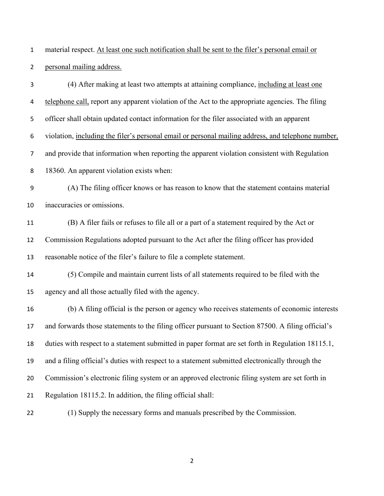material respect. At least one such notification shall be sent to the filer's personal email or personal mailing address.

(4) After making at least two attempts at attaining compliance, including at least one telephone call, report any apparent violation of the Act to the appropriate agencies. The filing officer shall obtain updated contact information for the filer associated with an apparent violation, including the filer's personal email or personal mailing address, and telephone number, and provide that information when reporting the apparent violation consistent with Regulation 18360. An apparent violation exists when: (A) The filing officer knows or has reason to know that the statement contains material inaccuracies or omissions. (B) A filer fails or refuses to file all or a part of a statement required by the Act or Commission Regulations adopted pursuant to the Act after the filing officer has provided reasonable notice of the filer's failure to file a complete statement. (5) Compile and maintain current lists of all statements required to be filed with the agency and all those actually filed with the agency. (b) A filing official is the person or agency who receives statements of economic interests and forwards those statements to the filing officer pursuant to Section 87500. A filing official's duties with respect to a statement submitted in paper format are set forth in Regulation 18115.1, and a filing official's duties with respect to a statement submitted electronically through the Commission's electronic filing system or an approved electronic filing system are set forth in Regulation 18115.2. In addition, the filing official shall: (1) Supply the necessary forms and manuals prescribed by the Commission.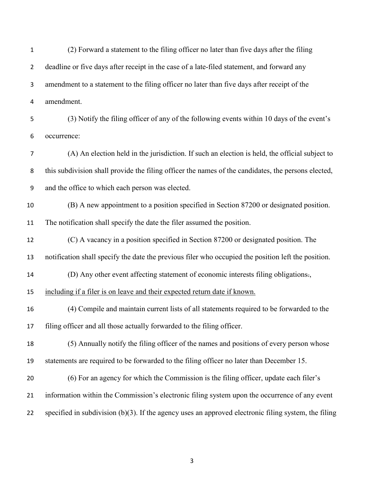(2) Forward a statement to the filing officer no later than five days after the filing 2 deadline or five days after receipt in the case of a late-filed statement, and forward any amendment to a statement to the filing officer no later than five days after receipt of the amendment. (3) Notify the filing officer of any of the following events within 10 days of the event's occurrence: (A) An election held in the jurisdiction. If such an election is held, the official subject to this subdivision shall provide the filing officer the names of the candidates, the persons elected, and the office to which each person was elected. (B) A new appointment to a position specified in Section 87200 or designated position. The notification shall specify the date the filer assumed the position. (C) A vacancy in a position specified in Section 87200 or designated position. The notification shall specify the date the previous filer who occupied the position left the position. (D) Any other event affecting statement of economic interests filing obligations., including if a filer is on leave and their expected return date if known. (4) Compile and maintain current lists of all statements required to be forwarded to the filing officer and all those actually forwarded to the filing officer. (5) Annually notify the filing officer of the names and positions of every person whose statements are required to be forwarded to the filing officer no later than December 15. (6) For an agency for which the Commission is the filing officer, update each filer's information within the Commission's electronic filing system upon the occurrence of any event specified in subdivision (b)(3). If the agency uses an approved electronic filing system, the filing